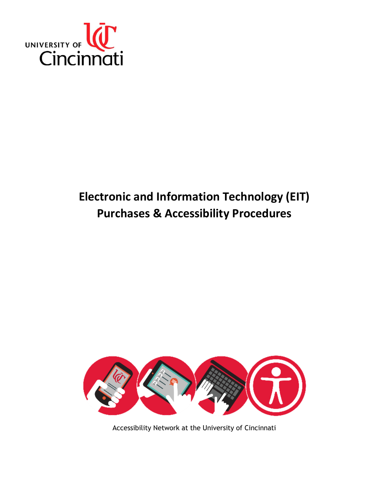

# <span id="page-0-0"></span>**Electronic and Information Technology (EIT) Purchases & Accessibility Procedures**



Accessibility Network at the University of Cincinnati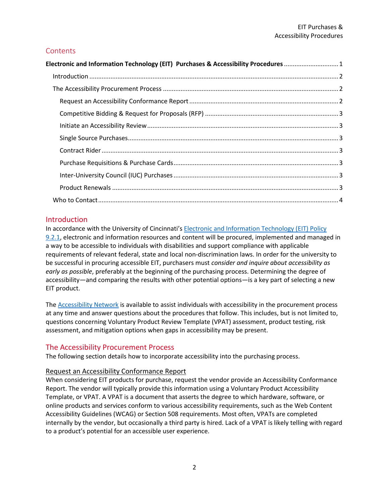# **Contents**

| Electronic and Information Technology (EIT) Purchases & Accessibility Procedures 1 |  |
|------------------------------------------------------------------------------------|--|
|                                                                                    |  |
|                                                                                    |  |
|                                                                                    |  |
|                                                                                    |  |
|                                                                                    |  |
|                                                                                    |  |
|                                                                                    |  |
|                                                                                    |  |
|                                                                                    |  |
|                                                                                    |  |
|                                                                                    |  |

# <span id="page-1-0"></span>**Introduction**

In accordance with the University of Cincinnati's **Electronic and Information Technology (EIT) Policy** [9.2.1,](https://www.uc.edu/content/dam/uc/infosec/docs/policies/EIT%20Accessibility%20Policy%204.5.2018_MJJ(1).pdf) electronic and information resources and content will be procured, implemented and managed in a way to be accessible to individuals with disabilities and support compliance with applicable requirements of relevant federal, state and local non-discrimination laws. In order for the university to be successful in procuring accessible EIT, purchasers must *consider and inquire about accessibility as early as possible*, preferably at the beginning of the purchasing process. Determining the degree of accessibility—and comparing the results with other potential options—is a key part of selecting a new EIT product.

The [Accessibility Network](https://www.uc.edu/ucit/community/accessibility.html) is available to assist individuals with accessibility in the procurement process at any time and answer questions about the procedures that follow. This includes, but is not limited to, questions concerning Voluntary Product Review Template (VPAT) assessment, product testing, risk assessment, and mitigation options when gaps in accessibility may be present.

# <span id="page-1-1"></span>The Accessibility Procurement Process

The following section details how to incorporate accessibility into the purchasing process.

# <span id="page-1-2"></span>Request an Accessibility Conformance Report

When considering EIT products for purchase, request the vendor provide an Accessibility Conformance Report. The vendor will typically provide this information using a Voluntary Product Accessibility Template, or VPAT. A VPAT is a document that asserts the degree to which hardware, software, or online products and services conform to various accessibility requirements, such as the Web Content Accessibility Guidelines (WCAG) or Section 508 requirements. Most often, VPATs are completed internally by the vendor, but occasionally a third party is hired. Lack of a VPAT is likely telling with regard to a product's potential for an accessible user experience.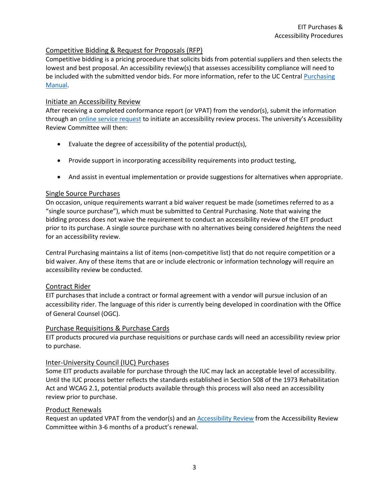## <span id="page-2-0"></span>Competitive Bidding & Request for Proposals (RFP)

Competitive bidding is a pricing procedure that solicits bids from potential suppliers and then selects the lowest and best proposal. An accessibility review(s) that assesses accessibility compliance will need to be included with the submitted vendor bids. For more information, refer to the UC Central Purchasing [Manual.](https://www.uc.edu/content/dam/uc/af/purchasing/docs/PurchasingManual.pdf)

## <span id="page-2-1"></span>Initiate an Accessibility Review

After receiving a completed conformance report (or VPAT) from the vendor(s), submit the information through an **online service request** to initiate an accessibility review process. The university's Accessibility Review Committee will then:

- Evaluate the degree of accessibility of the potential product(s),
- Provide support in incorporating accessibility requirements into product testing,
- And assist in eventual implementation or provide suggestions for alternatives when appropriate.

## <span id="page-2-2"></span>Single Source Purchases

On occasion, unique requirements warrant a bid waiver request be made (sometimes referred to as a "single source purchase"), which must be submitted to Central Purchasing. Note that waiving the bidding process does not waive the requirement to conduct an accessibility review of the EIT product prior to its purchase. A single source purchase with no alternatives being considered *heightens* the need for an accessibility review.

Central Purchasing maintains a list of items (non-competitive list) that do not require competition or a bid waiver. Any of these items that are or include electronic or information technology will require an accessibility review be conducted.

### <span id="page-2-3"></span>Contract Rider

EIT purchases that include a contract or formal agreement with a vendor will pursue inclusion of an accessibility rider. The language of this rider is currently being developed in coordination with the Office of General Counsel (OGC).

### <span id="page-2-4"></span>Purchase Requisitions & Purchase Cards

EIT products procured via purchase requisitions or purchase cards will need an accessibility review prior to purchase.

### <span id="page-2-5"></span>Inter-University Council (IUC) Purchases

Some EIT products available for purchase through the IUC may lack an acceptable level of accessibility. Until the IUC process better reflects the standards established in Section 508 of the 1973 Rehabilitation Act and WCAG 2.1, potential products available through this process will also need an accessibility review prior to purchase.

### <span id="page-2-6"></span>Product Renewals

Request an updated VPAT from the vendor(s) and an [Accessibility Review](https://uc.teamdynamix.com/TDClient/Requests/ServiceDet?ID=26142) from the Accessibility Review Committee within 3-6 months of a product's renewal.